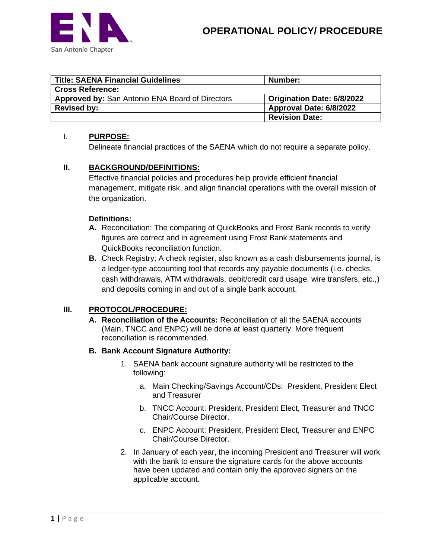



| <b>Title: SAENA Financial Guidelines</b>        | Number:                           |
|-------------------------------------------------|-----------------------------------|
| <b>Cross Reference:</b>                         |                                   |
| Approved by: San Antonio ENA Board of Directors | <b>Origination Date: 6/8/2022</b> |
| <b>Revised by:</b>                              | Approval Date: 6/8/2022           |
|                                                 | <b>Revision Date:</b>             |

### I. **PURPOSE:**

Delineate financial practices of the SAENA which do not require a separate policy.

# **II. BACKGROUND/DEFINITIONS:**

Effective financial policies and procedures help provide efficient financial management, mitigate risk, and align financial operations with the overall mission of the organization.

### **Definitions:**

- **A.** Reconciliation: The comparing of QuickBooks and Frost Bank records to verify figures are correct and in agreement using Frost Bank statements and QuickBooks reconciliation function.
- **B.** Check Registry: A check register, also known as a cash disbursements journal, is a ledger-type accounting tool that records any payable documents (i.e. checks, cash withdrawals, ATM withdrawals, debit/credit card usage, wire transfers, etc.,) and deposits coming in and out of a single bank account.

# **III. PROTOCOL/PROCEDURE:**

**A. Reconciliation of the Accounts:** Reconciliation of all the SAENA accounts (Main, TNCC and ENPC) will be done at least quarterly. More frequent reconciliation is recommended.

#### **B. Bank Account Signature Authority:**

- 1. SAENA bank account signature authority will be restricted to the following:
	- a. Main Checking/Savings Account/CDs: President, President Elect and Treasurer
	- b. TNCC Account: President, President Elect, Treasurer and TNCC Chair/Course Director.
	- c. ENPC Account: President, President Elect, Treasurer and ENPC Chair/Course Director.
- 2. In January of each year, the incoming President and Treasurer will work with the bank to ensure the signature cards for the above accounts have been updated and contain only the approved signers on the applicable account.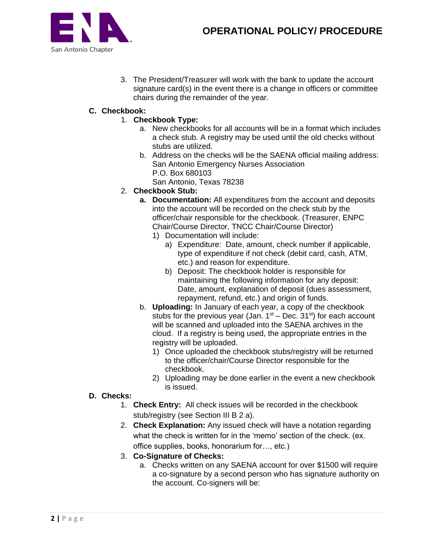

3. The President/Treasurer will work with the bank to update the account signature card(s) in the event there is a change in officers or committee chairs during the remainder of the year.

# **C. Checkbook:**

- 1. **Checkbook Type:**
	- a. New checkbooks for all accounts will be in a format which includes a check stub. A registry may be used until the old checks without stubs are utilized.
	- b. Address on the checks will be the SAENA official mailing address: San Antonio Emergency Nurses Association P.O. Box 680103
		- San Antonio, Texas 78238
- 2. **Checkbook Stub:**
	- **a. Documentation:** All expenditures from the account and deposits into the account will be recorded on the check stub by the officer/chair responsible for the checkbook. (Treasurer, ENPC Chair/Course Director, TNCC Chair/Course Director)
		- 1) Documentation will include:
			- a) Expenditure: Date, amount, check number if applicable, type of expenditure if not check (debit card, cash, ATM, etc.) and reason for expenditure.
			- b) Deposit: The checkbook holder is responsible for maintaining the following information for any deposit: Date, amount, explanation of deposit (dues assessment, repayment, refund, etc.) and origin of funds.
	- b. **Uploading:** In January of each year, a copy of the checkbook stubs for the previous year (Jan.  $1<sup>st</sup>$  – Dec.  $31<sup>st</sup>$ ) for each account will be scanned and uploaded into the SAENA archives in the cloud. If a registry is being used, the appropriate entries in the registry will be uploaded.
		- 1) Once uploaded the checkbook stubs/registry will be returned to the officer/chair/Course Director responsible for the checkbook.
		- 2) Uploading may be done earlier in the event a new checkbook is issued.
- **D. Checks:**
	- 1. **Check Entry:** All check issues will be recorded in the checkbook stub/registry (see Section III B 2 a).
	- 2. **Check Explanation:** Any issued check will have a notation regarding what the check is written for in the 'memo' section of the check. (ex. office supplies, books, honorarium for…, etc.)
	- 3. **Co-Signature of Checks:**
		- a. Checks written on any SAENA account for over \$1500 will require a co-signature by a second person who has signature authority on the account. Co-signers will be: